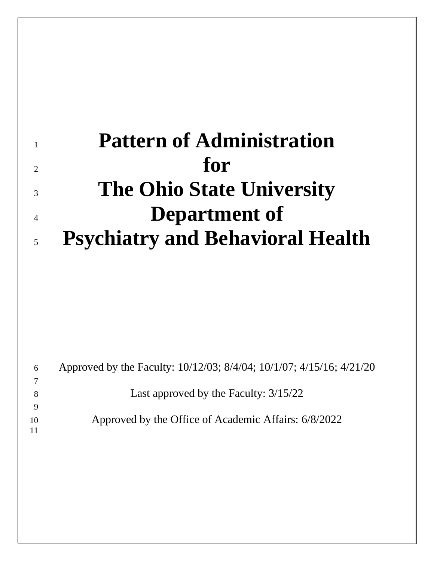# **Pattern of Administration**  $\sum_{2}$  **for The Ohio State University Department of Psychiatry and Behavioral Health**

| 6  | Approved by the Faculty: 10/12/03; 8/4/04; 10/1/07; 4/15/16; 4/21/20 |
|----|----------------------------------------------------------------------|
|    |                                                                      |
|    | Last approved by the Faculty: 3/15/22                                |
|    |                                                                      |
| 10 | Approved by the Office of Academic Affairs: 6/8/2022                 |
| 11 |                                                                      |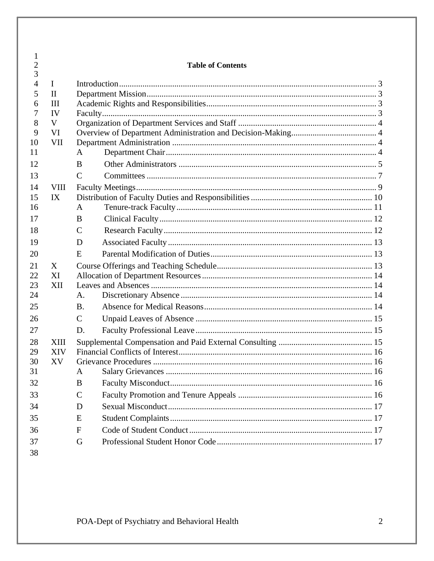| 1                   |              |                          |  |  |  |  |
|---------------------|--------------|--------------------------|--|--|--|--|
| $\overline{2}$<br>3 |              | <b>Table of Contents</b> |  |  |  |  |
| $\overline{4}$      | $\mathbf I$  |                          |  |  |  |  |
| 5                   | $\mathbf{I}$ |                          |  |  |  |  |
| 6                   | III          |                          |  |  |  |  |
| 7                   | IV           |                          |  |  |  |  |
| 8                   | V            |                          |  |  |  |  |
| 9                   | VI           |                          |  |  |  |  |
| 10                  | <b>VII</b>   |                          |  |  |  |  |
| 11                  |              | A                        |  |  |  |  |
| 12                  |              | B                        |  |  |  |  |
| 13                  |              | $\mathcal{C}$            |  |  |  |  |
| 14                  | <b>VIII</b>  |                          |  |  |  |  |
| 15                  | IX           |                          |  |  |  |  |
| 16                  |              | A                        |  |  |  |  |
| 17                  |              | B                        |  |  |  |  |
| 18                  |              | $\mathsf{C}$             |  |  |  |  |
| 19                  |              | D                        |  |  |  |  |
| 20                  |              | E                        |  |  |  |  |
| 21                  | X            |                          |  |  |  |  |
| 22                  | XI           |                          |  |  |  |  |
| 23                  | XII          |                          |  |  |  |  |
| 24                  |              | A.                       |  |  |  |  |
| 25                  |              | <b>B.</b>                |  |  |  |  |
| 26                  |              | $\mathsf{C}$             |  |  |  |  |
| 27                  |              | D.                       |  |  |  |  |
| 28                  | <b>XIII</b>  |                          |  |  |  |  |
| 29                  | <b>XIV</b>   |                          |  |  |  |  |
| 30                  | XV           |                          |  |  |  |  |
| 31                  |              | A                        |  |  |  |  |
| 32                  |              | B                        |  |  |  |  |
| 33                  |              | $\mathcal{C}$            |  |  |  |  |
| 34                  |              | D                        |  |  |  |  |
| 35                  |              | E                        |  |  |  |  |
| 36                  |              | $\mathbf{F}$             |  |  |  |  |
| 37                  |              | G                        |  |  |  |  |
| 38                  |              |                          |  |  |  |  |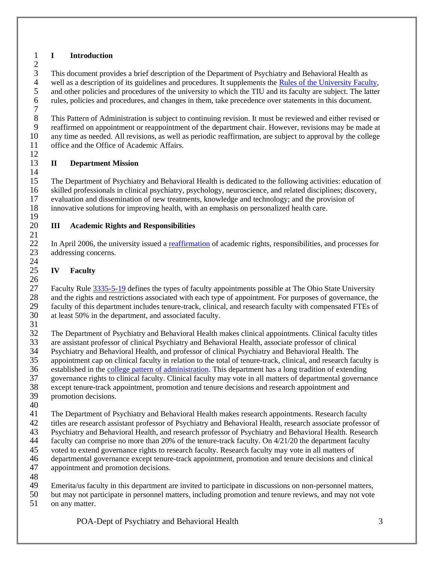# <span id="page-2-0"></span>**I Introduction**

 $\frac{2}{3}$ 3 This document provides a brief description of the Department of Psychiatry and Behavioral Health as<br>4 well as a description of its guidelines and procedures. It supplements the Rules of the University Facu 4 well as a description of its guidelines and procedures. It supplements the **Rules of the University Faculty**,<br>5 and other policies and procedures of the university to which the TIU and its faculty are subject. The latter and other policies and procedures of the university to which the TIU and its faculty are subject. The latter rules, policies and procedures, and changes in them, take precedence over statements in this document. 

8 This Pattern of Administration is subject to continuing revision. It must be reviewed and either revised or<br>9 reaffirmed on appointment or reappointment of the department chair. However, revisions may be made at reaffirmed on appointment or reappointment of the department chair. However, revisions may be made at any time as needed. All revisions, as well as periodic reaffirmation, are subject to approval by the college office and the Office of Academic Affairs. 

# <span id="page-2-1"></span>**II Department Mission**

 The Department of Psychiatry and Behavioral Health is dedicated to the following activities: education of skilled professionals in clinical psychiatry, psychology, neuroscience, and related disciplines; discovery, evaluation and dissemination of new treatments, knowledge and technology; and the provision of innovative solutions for improving health, with an emphasis on personalized health care.

#### <span id="page-2-2"></span> **III Academic Rights and Responsibilities**

22 In April 2006, the university issued a [reaffirmation](https://oaa.osu.edu/rightsandresponsibilities.html) of academic rights, responsibilities, and processes for addressing concerns. 

# <span id="page-2-3"></span>**IV Faculty**

 $\frac{26}{27}$ Faculty Rule  $\frac{3335-5-19}{2}$  defines the types of faculty appointments possible at The Ohio State University and the rights and restrictions associated with each type of appointment. For purposes of governance, the faculty of this department includes tenure-track, clinical, and research faculty with compensated FTEs of at least 50% in the department, and associated faculty.

The Department of Psychiatry and Behavioral Health makes clinical appointments. Clinical faculty titles

33 are assistant professor of clinical Psychiatry and Behavioral Health, associate professor of clinical Psychiatry and Behavioral Health. The Psychiatry and Behavioral Health, and professor of clinical Psychiatry and Behavioral Health. The

appointment cap on clinical faculty in relation to the total of tenure-track, clinical, and research faculty is

36 established in the [college pattern of administration.](http://oaa.osu.edu/governance) This department has a long tradition of extending

governance rights to clinical faculty. Clinical faculty may vote in all matters of departmental governance

except tenure-track appointment, promotion and tenure decisions and research appointment and

- promotion decisions.
- 

The Department of Psychiatry and Behavioral Health makes research appointments. Research faculty

titles are research assistant professor of Psychiatry and Behavioral Health, research associate professor of

- Psychiatry and Behavioral Health, and research professor of Psychiatry and Behavioral Health. Research
- faculty can comprise no more than 20% of the tenure-track faculty. On 4/21/20 the department faculty
- voted to extend governance rights to research faculty. Research faculty may vote in all matters of
- departmental governance except tenure-track appointment, promotion and tenure decisions and clinical appointment and promotion decisions.
- 

Emerita/us faculty in this department are invited to participate in discussions on non-personnel matters,

- but may not participate in personnel matters, including promotion and tenure reviews, and may not vote
- on any matter.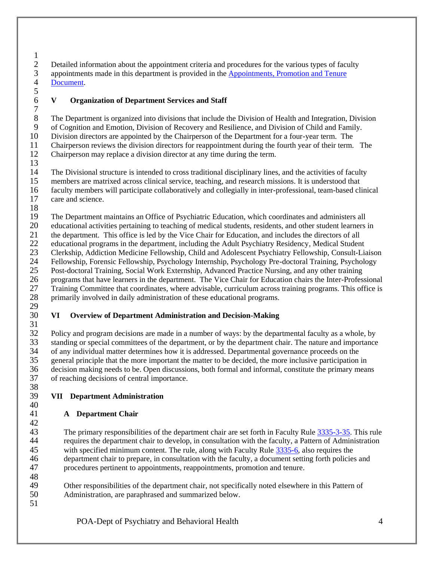- $\frac{1}{2}$ 2 Detailed information about the appointment criteria and procedures for the various types of faculty<br>3 appointments made in this department is provided in the Appointments, Promotion and Tenure 3 appointments made in this department is provided in the Appointments, Promotion and Tenure<br>4 Document. [Document.](https://oaa.osu.edu/appointments-reappointments-promotion-and-tenure)
- 

# <span id="page-3-0"></span>**V Organization of Department Services and Staff**

 The Department is organized into divisions that include the Division of Health and Integration, Division of Cognition and Emotion, Division of Recovery and Resilience, and Division of Child and Family. Division directors are appointed by the Chairperson of the Department for a four-year term. The Chairperson reviews the division directors for reappointment during the fourth year of their term. The

Chairperson may replace a division director at any time during the term.

 $\frac{13}{14}$ 

 The Divisional structure is intended to cross traditional disciplinary lines, and the activities of faculty members are matrixed across clinical service, teaching, and research missions. It is understood that faculty members will participate collaboratively and collegially in inter-professional, team-based clinical care and science.

The Department maintains an Office of Psychiatric Education, which coordinates and administers all

20 educational activities pertaining to teaching of medical students, residents, and other student learners in<br>21 the department. This office is led by the Vice Chair for Education, and includes the directors of all

 the department. This office is led by the Vice Chair for Education, and includes the directors of all educational programs in the department, including the Adult Psychiatry Residency, Medical Student

23 Clerkship, Addiction Medicine Fellowship, Child and Adolescent Psychiatry Fellowship, Consult-Liaison<br>24 Fellowship, Forensic Fellowship, Psychology Internship, Psychology Pre-doctoral Training, Psychology Fellowship, Forensic Fellowship, Psychology Internship, Psychology Pre-doctoral Training, Psychology

Post-doctoral Training, Social Work Externship, Advanced Practice Nursing, and any other training

26 programs that have learners in the department. The Vice Chair for Education chairs the Inter-Professional<br>27 Training Committee that coordinates, where advisable, curriculum across training programs. This office is 27 Training Committee that coordinates, where advisable, curriculum across training programs. This office is<br>28 primarily involved in daily administration of these educational programs.

 primarily involved in daily administration of these educational programs. 

#### <span id="page-3-1"></span> **VI Overview of Department Administration and Decision-Making**

 Policy and program decisions are made in a number of ways: by the departmental faculty as a whole, by 33 standing or special committees of the department, or by the department chair. The nature and importance of any individual matter determines how it is addressed. Departmental governance proceeds on the of any individual matter determines how it is addressed. Departmental governance proceeds on the general principle that the more important the matter to be decided, the more inclusive participation in decision making needs to be. Open discussions, both formal and informal, constitute the primary means of reaching decisions of central importance. 

#### <span id="page-3-2"></span> **VII Department Administration**

# <span id="page-3-3"></span>**A Department Chair**

 The primary responsibilities of the department chair are set forth in Faculty Rule [3335-3-35.](https://trustees.osu.edu/rules/university-rules/chapter-3335-3-administration.html) This rule requires the department chair to develop, in consultation with the faculty, a Pattern of Administration with specified minimum content. The rule, along with Faculty Rule [3335-6,](https://trustees.osu.edu/rules/university-rules/chapter-3335-6-rules-of-the-university-faculty-concerning-faculty-appointments-reappointments-promotion-and-tenure.html) also requires the department chair to prepare, in consultation with the faculty, a document setting forth policies and procedures pertinent to appointments, reappointments, promotion and tenure.

 Other responsibilities of the department chair, not specifically noted elsewhere in this Pattern of Administration, are paraphrased and summarized below.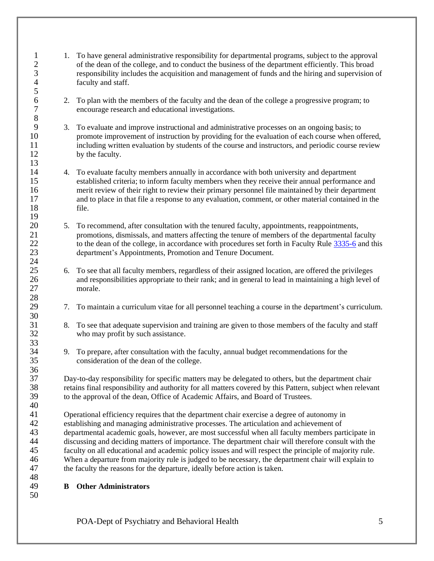- 1. To have general administrative responsibility for departmental programs, subject to the approval<br>2 of the dean of the college, and to conduct the business of the department efficiently. This broad 2 of the dean of the college, and to conduct the business of the department efficiently. This broad<br>3 responsibility includes the acquisition and management of funds and the hiring and supervision responsibility includes the acquisition and management of funds and the hiring and supervision of faculty and staff.
- 6 2. To plan with the members of the faculty and the dean of the college a progressive program; to encourage research and educational investigations. encourage research and educational investigations.
- 3. To evaluate and improve instructional and administrative processes on an ongoing basis; to promote improvement of instruction by providing for the evaluation of each course when offered, including written evaluation by students of the course and instructors, and periodic course review by the faculty.
- 4. To evaluate faculty members annually in accordance with both university and department established criteria; to inform faculty members when they receive their annual performance and merit review of their right to review their primary personnel file maintained by their department and to place in that file a response to any evaluation, comment, or other material contained in the file.
- 20 5. To recommend, after consultation with the tenured faculty, appointments, reappointments, promotions, dismissals, and matters affecting the tenure of members of the departmental fa promotions, dismissals, and matters affecting the tenure of members of the departmental faculty 22 to the dean of the college, in accordance with procedures set forth in Faculty Rule [3335-6](https://trustees.osu.edu/rules/university-rules/chapter-3335-6-rules-of-the-university-faculty-concerning-faculty-appointments-reappointments-promotion-and-tenure.html) and this department's Appointments, Promotion and Tenure Document.
- 6. To see that all faculty members, regardless of their assigned location, are offered the privileges and responsibilities appropriate to their rank; and in general to lead in maintaining a high level of morale.
- 7. To maintain a curriculum vitae for all personnel teaching a course in the department's curriculum.
- 8. To see that adequate supervision and training are given to those members of the faculty and staff who may profit by such assistance.
- 9. To prepare, after consultation with the faculty, annual budget recommendations for the consideration of the dean of the college.

Day-to-day responsibility for specific matters may be delegated to others, but the department chair retains final responsibility and authority for all matters covered by this Pattern, subject when relevant to the approval of the dean, Office of Academic Affairs, and Board of Trustees.

 Operational efficiency requires that the department chair exercise a degree of autonomy in establishing and managing administrative processes. The articulation and achievement of departmental academic goals, however, are most successful when all faculty members participate in discussing and deciding matters of importance. The department chair will therefore consult with the faculty on all educational and academic policy issues and will respect the principle of majority rule. 46 When a departure from majority rule is judged to be necessary, the department chair will explain to the faculty the reasons for the departure, ideally before action is taken. the faculty the reasons for the departure, ideally before action is taken.

- <span id="page-4-0"></span>**B Other Administrators**
- 

 $\begin{array}{c} 8 \\ 9 \end{array}$ 

36<br>37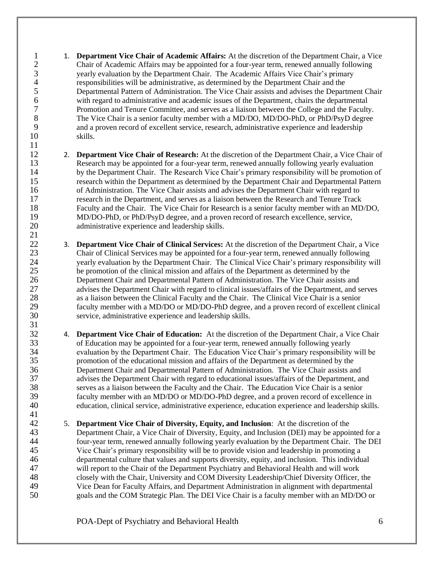1. **Department Vice Chair of Academic Affairs:** At the discretion of the Department Chair, a Vice Chair of Academic Affairs may be appointed for a four-year term, renewed annually following 3 yearly evaluation by the Department Chair. The Academic Affairs Vice Chair's primary<br>4 responsibilities will be administrative, as determined by the Department Chair and the 4 responsibilities will be administrative, as determined by the Department Chair and the<br>5 Departmental Pattern of Administration. The Vice Chair assists and advises the Depart Departmental Pattern of Administration. The Vice Chair assists and advises the Department Chair with regard to administrative and academic issues of the Department, chairs the departmental Promotion and Tenure Committee, and serves as a liaison between the College and the Faculty. The Vice Chair is a senior faculty member with a MD/DO, MD/DO-PhD, or PhD/PsyD degree and a proven record of excellent service, research, administrative experience and leadership skills.

- **2. Department Vice Chair of Research:** At the discretion of the Department Chair, a Vice Chair of Research may be appointed for a four-vear term, renewed annually following vearly evaluation Research may be appointed for a four-year term, renewed annually following yearly evaluation by the Department Chair. The Research Vice Chair's primary responsibility will be promotion of research within the Department as determined by the Department Chair and Departmental Pattern of Administration. The Vice Chair assists and advises the Department Chair with regard to research in the Department, and serves as a liaison between the Research and Tenure Track Faculty and the Chair. The Vice Chair for Research is a senior faculty member with an MD/DO, MD/DO-PhD, or PhD/PsyD degree, and a proven record of research excellence, service, administrative experience and leadership skills.
- 22 3. **Department Vice Chair of Clinical Services:** At the discretion of the Department Chair, a Vice Chair of Clinical Services may be appointed for a four-vear term, renewed annually following Chair of Clinical Services may be appointed for a four-year term, renewed annually following yearly evaluation by the Department Chair. The Clinical Vice Chair's primary responsibility will be promotion of the clinical mission and affairs of the Department as determined by the Department Chair and Departmental Pattern of Administration. The Vice Chair assists and advises the Department Chair with regard to clinical issues/affairs of the Department, and serves as a liaison between the Clinical Faculty and the Chair. The Clinical Vice Chair is a senior faculty member with a MD/DO or MD/DO-PhD degree, and a proven record of excellent clinical service, administrative experience and leadership skills.
- 4. **Department Vice Chair of Education:** At the discretion of the Department Chair, a Vice Chair of Education may be appointed for a four-year term, renewed annually following yearly evaluation by the Department Chair. The Education Vice Chair's primary responsibility will be promotion of the educational mission and affairs of the Department as determined by the Department Chair and Departmental Pattern of Administration. The Vice Chair assists and advises the Department Chair with regard to educational issues/affairs of the Department, and serves as a liaison between the Faculty and the Chair. The Education Vice Chair is a senior faculty member with an MD/DO or MD/DO-PhD degree, and a proven record of excellence in education, clinical service, administrative experience, education experience and leadership skills.
- 5. **Department Vice Chair of Diversity, Equity, and Inclusion**: At the discretion of the Department Chair, a Vice Chair of Diversity, Equity, and Inclusion (DEI) may be appointed for a four-year term, renewed annually following yearly evaluation by the Department Chair. The DEI Vice Chair's primary responsibility will be to provide vision and leadership in promoting a departmental culture that values and supports diversity, equity, and inclusion. This individual will report to the Chair of the Department Psychiatry and Behavioral Health and will work closely with the Chair, University and COM Diversity Leadership/Chief Diversity Officer, the Vice Dean for Faculty Affairs, and Department Administration in alignment with departmental goals and the COM Strategic Plan. The DEI Vice Chair is a faculty member with an MD/DO or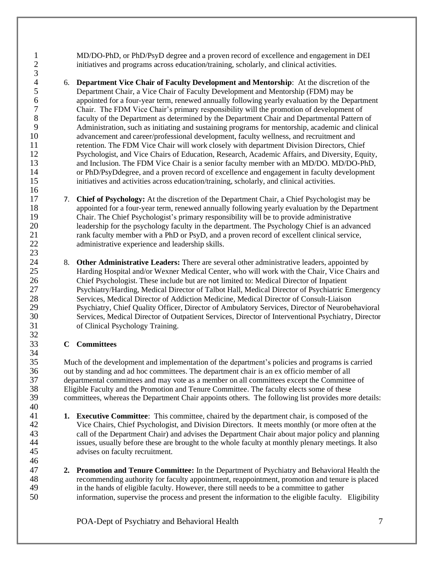MD/DO-PhD, or PhD/PsyD degree and a proven record of excellence and engagement in DEI 2 initiatives and programs across education/training, scholarly, and clinical activities.

4 6. **Department Vice Chair of Faculty Development and Mentorship**: At the discretion of the Department Chair, a Vice Chair of Faculty Development and Mentorship (FDM) may be Department Chair, a Vice Chair of Faculty Development and Mentorship (FDM) may be 6 appointed for a four-year term, renewed annually following yearly evaluation by the Department Chair. The FDM Vice Chair's primary responsibility will the promotion of development of Chair. The FDM Vice Chair's primary responsibility will the promotion of development of faculty of the Department as determined by the Department Chair and Departmental Pattern of Administration, such as initiating and sustaining programs for mentorship, academic and clinical advancement and career/professional development, faculty wellness, and recruitment and retention. The FDM Vice Chair will work closely with department Division Directors, Chief Psychologist, and Vice Chairs of Education, Research, Academic Affairs, and Diversity, Equity, and Inclusion. The FDM Vice Chair is a senior faculty member with an MD/DO. MD/DO-PhD, or PhD/PsyDdegree, and a proven record of excellence and engagement in faculty development initiatives and activities across education/training, scholarly, and clinical activities.

- 7. **Chief of Psychology:** At the discretion of the Department Chair, a Chief Psychologist may be appointed for a four-year term, renewed annually following yearly evaluation by the Department Chair. The Chief Psychologist's primary responsibility will be to provide administrative leadership for the psychology faculty in the department. The Psychology Chief is an advanced rank faculty member with a PhD or PsyD, and a proven record of excellent clinical service, administrative experience and leadership skills.
- 8. **Other Administrative Leaders:** There are several other administrative leaders, appointed by Harding Hospital and/or Wexner Medical Center, who will work with the Chair, Vice Chairs and Chief Psychologist. These include but are not limited to: Medical Director of Inpatient Psychiatry/Harding, Medical Director of Talbot Hall, Medical Director of Psychiatric Emergency Services, Medical Director of Addiction Medicine, Medical Director of Consult-Liaison Psychiatry, Chief Quality Officer, Director of Ambulatory Services, Director of Neurobehavioral Services, Medical Director of Outpatient Services, Director of Interventional Psychiatry, Director of Clinical Psychology Training.

# <span id="page-6-0"></span>**C Committees**

 $\frac{3}{4}$ 

 Much of the development and implementation of the department's policies and programs is carried out by standing and ad hoc committees. The department chair is an ex officio member of all departmental committees and may vote as a member on all committees except the Committee of 38 Eligible Faculty and the Promotion and Tenure Committee. The faculty elects some of these committees, whereas the Department Chair appoints others. The following list provides more committees, whereas the Department Chair appoints others. The following list provides more details:

- **1. Executive Committee**: This committee, chaired by the department chair, is composed of the Vice Chairs, Chief Psychologist, and Division Directors. It meets monthly (or more often at the call of the Department Chair) and advises the Department Chair about major policy and planning issues, usually before these are brought to the whole faculty at monthly plenary meetings. It also advises on faculty recruitment.
- **2. Promotion and Tenure Committee:** In the Department of Psychiatry and Behavioral Health the recommending authority for faculty appointment, reappointment, promotion and tenure is placed in the hands of eligible faculty. However, there still needs to be a committee to gather information, supervise the process and present the information to the eligible faculty. Eligibility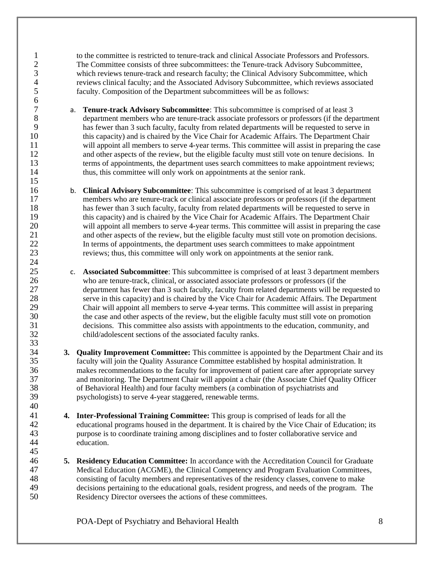to the committee is restricted to tenure-track and clinical Associate Professors and Professors. The Committee consists of three subcommittees: the Tenure-track Advisory Subcommittee, 3 which reviews tenure-track and research faculty; the Clinical Advisory Subcommittee, which<br>4 reviews clinical faculty; and the Associated Advisory Subcommittee, which reviews associate 4 reviews clinical faculty; and the Associated Advisory Subcommittee, which reviews associated faculty. Composition of the Department subcommittees will be as follows: faculty. Composition of the Department subcommittees will be as follows:

- 7 **a. Tenure-track Advisory Subcommittee**: This subcommittee is comprised of at least 3 department members who are tenure-track associate professors or professors (if the dep department members who are tenure-track associate professors or professors (if the department has fewer than 3 such faculty, faculty from related departments will be requested to serve in this capacity) and is chaired by the Vice Chair for Academic Affairs. The Department Chair will appoint all members to serve 4-year terms. This committee will assist in preparing the case and other aspects of the review, but the eligible faculty must still vote on tenure decisions. In terms of appointments, the department uses search committees to make appointment reviews; thus, this committee will only work on appointments at the senior rank.
- **b. Clinical Advisory Subcommittee**: This subcommittee is comprised of at least 3 department members who are tenure-track or clinical associate professors or professors (if the department members who are tenure-track or clinical associate professors or professors (if the department has fewer than 3 such faculty, faculty from related departments will be requested to serve in this capacity) and is chaired by the Vice Chair for Academic Affairs. The Department Chair will appoint all members to serve 4-year terms. This committee will assist in preparing the case and other aspects of the review, but the eligible faculty must still vote on promotion decisions. In terms of appointments, the department uses search committees to make appointment reviews; thus, this committee will only work on appointments at the senior rank.
- 25 c. **Associated Subcommittee**: This subcommittee is comprised of at least 3 department members who are tenure-track, clinical, or associated associate professors or professors (if the who are tenure-track, clinical, or associated associate professors or professors (if the department has fewer than 3 such faculty, faculty from related departments will be requested to serve in this capacity) and is chaired by the Vice Chair for Academic Affairs. The Department Chair will appoint all members to serve 4-year terms. This committee will assist in preparing the case and other aspects of the review, but the eligible faculty must still vote on promotion decisions. This committee also assists with appointments to the education, community, and child/adolescent sections of the associated faculty ranks.
- **3. Quality Improvement Committee:** This committee is appointed by the Department Chair and its faculty will join the Quality Assurance Committee established by hospital administration. It makes recommendations to the faculty for improvement of patient care after appropriate survey and monitoring. The Department Chair will appoint a chair (the Associate Chief Quality Officer of Behavioral Health) and four faculty members (a combination of psychiatrists and psychologists) to serve 4-year staggered, renewable terms.
- **4. Inter-Professional Training Committee:** This group is comprised of leads for all the educational programs housed in the department. It is chaired by the Vice Chair of Education; its purpose is to coordinate training among disciplines and to foster collaborative service and education.
- **5. Residency Education Committee:** In accordance with the Accreditation Council for Graduate Medical Education (ACGME), the Clinical Competency and Program Evaluation Committees, consisting of faculty members and representatives of the residency classes, convene to make decisions pertaining to the educational goals, resident progress, and needs of the program. The Residency Director oversees the actions of these committees.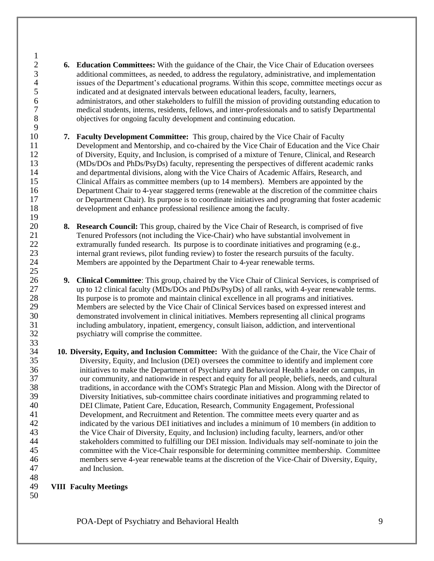- **6. Education Committees:** With the guidance of the Chair, the Vice Chair of Education oversees 3<br>additional committees, as needed, to address the regulatory, administrative, and implementation<br>4<br>assumes of the Department's educational programs. Within this scope, committee meetings occur a 4 issues of the Department's educational programs. Within this scope, committee meetings occur as indicated and at designated intervals between educational leaders, faculty, learners, 5 indicated and at designated intervals between educational leaders, faculty, learners,<br>6 deministrators, and other stakeholders to fulfill the mission of providing outstanding 6 administrators, and other stakeholders to fulfill the mission of providing outstanding education to<br>
7 education to medical students, interns, residents, fellows, and inter-professionals and to satisfy Departmental medical students, interns, residents, fellows, and inter-professionals and to satisfy Departmental objectives for ongoing faculty development and continuing education.
- **7. Faculty Development Committee:** This group, chaired by the Vice Chair of Faculty Development and Mentorship, and co-chaired by the Vice Chair of Education and the Vice Chair of Diversity, Equity, and Inclusion, is comprised of a mixture of Tenure, Clinical, and Research (MDs/DOs and PhDs/PsyDs) faculty, representing the perspectives of different academic ranks and departmental divisions, along with the Vice Chairs of Academic Affairs, Research, and Clinical Affairs as committee members (up to 14 members). Members are appointed by the Department Chair to 4-year staggered terms (renewable at the discretion of the committee chairs or Department Chair). Its purpose is to coordinate initiatives and programing that foster academic development and enhance professional resilience among the faculty.
- 20 **8. Research Council:** This group, chaired by the Vice Chair of Research, is comprised of five<br>21 Tenured Professors (not including the Vice-Chair) who have substantial involvement in Tenured Professors (not including the Vice-Chair) who have substantial involvement in extramurally funded research. Its purpose is to coordinate initiatives and programing (e.g., internal grant reviews, pilot funding review) to foster the research pursuits of the faculty. Members are appointed by the Department Chair to 4-year renewable terms.
- **9. Clinical Committee**: This group, chaired by the Vice Chair of Clinical Services, is comprised of up to 12 clinical faculty (MDs/DOs and PhDs/PsyDs) of all ranks, with 4-year renewable terms. Its purpose is to promote and maintain clinical excellence in all programs and initiatives. Members are selected by the Vice Chair of Clinical Services based on expressed interest and demonstrated involvement in clinical initiatives. Members representing all clinical programs including ambulatory, inpatient, emergency, consult liaison, addiction, and interventional psychiatry will comprise the committee.
- **10. Diversity, Equity, and Inclusion Committee:** With the guidance of the Chair, the Vice Chair of Diversity, Equity, and Inclusion (DEI) oversees the committee to identify and implement core initiatives to make the Department of Psychiatry and Behavioral Health a leader on campus, in our community, and nationwide in respect and equity for all people, beliefs, needs, and cultural traditions, in accordance with the COM's Strategic Plan and Mission. Along with the Director of Diversity Initiatives, sub-committee chairs coordinate initiatives and programming related to DEI Climate, Patient Care, Education, Research, Community Engagement, Professional Development, and Recruitment and Retention. The committee meets every quarter and as indicated by the various DEI initiatives and includes a minimum of 10 members (in addition to the Vice Chair of Diversity, Equity, and Inclusion) including faculty, learners, and/or other stakeholders committed to fulfilling our DEI mission. Individuals may self-nominate to join the committee with the Vice-Chair responsible for determining committee membership. Committee members serve 4-year renewable teams at the discretion of the Vice-Chair of Diversity, Equity, and Inclusion.
- <span id="page-8-0"></span>**VIII Faculty Meetings**
- 

 $\frac{9}{10}$ 

 $\frac{19}{20}$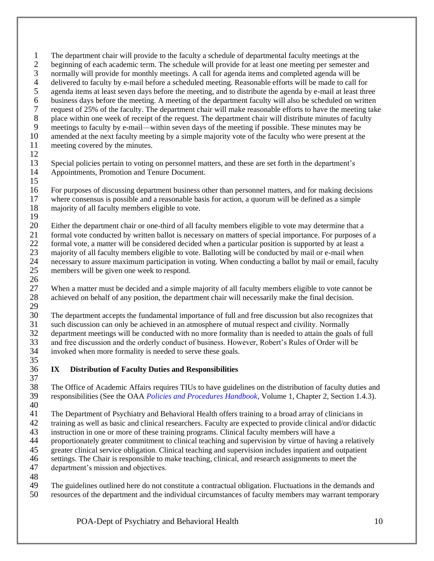1 The department chair will provide to the faculty a schedule of departmental faculty meetings at the beginning of each academic term. The schedule will provide for at least one meeting per semester a beginning of each academic term. The schedule will provide for at least one meeting per semester and 3 normally will provide for monthly meetings. A call for agenda items and completed agenda will be delivered to faculty by e-mail before a scheduled meeting. Reasonable efforts will be made to call f 4 delivered to faculty by e-mail before a scheduled meeting. Reasonable efforts will be made to call for agenda items at least seven days before the meeting, and to distribute the agenda by e-mail at least three agenda items at least seven days before the meeting, and to distribute the agenda by e-mail at least three 6 business days before the meeting. A meeting of the department faculty will also be scheduled on written request of 25% of the faculty. The department chair will make reasonable efforts to have the meeting tak request of 25% of the faculty. The department chair will make reasonable efforts to have the meeting take 8 place within one week of receipt of the request. The department chair will distribute minutes of faculty<br>9 meetings to faculty by e-mail—within seven days of the meeting if possible. These minutes may be meetings to faculty by e-mail—within seven days of the meeting if possible. These minutes may be amended at the next faculty meeting by a simple majority vote of the faculty who were present at the meeting covered by the minutes.

 Special policies pertain to voting on personnel matters, and these are set forth in the department's Appointments, Promotion and Tenure Document. 

- For purposes of discussing department business other than personnel matters, and for making decisions where consensus is possible and a reasonable basis for action, a quorum will be defined as a simple majority of all faculty members eligible to vote.
- 

 Either the department chair or one-third of all faculty members eligible to vote may determine that a formal vote conducted by written ballot is necessary on matters of special importance. For purposes of a formal vote, a matter will be considered decided when a particular position is supported by at least a

- 23 majority of all faculty members eligible to vote. Balloting will be conducted by mail or e-mail when<br>24 necessary to assure maximum participation in voting. When conducting a ballot by mail or email, factors necessary to assure maximum participation in voting. When conducting a ballot by mail or email, faculty
- members will be given one week to respond.

 $\frac{26}{27}$ 27 When a matter must be decided and a simple majority of all faculty members eligible to vote cannot be achieved on behalf of any position, the department chair will necessarily make the final decision. achieved on behalf of any position, the department chair will necessarily make the final decision. 

The department accepts the fundamental importance of full and free discussion but also recognizes that

 such discussion can only be achieved in an atmosphere of mutual respect and civility. Normally department meetings will be conducted with no more formality than is needed to attain the goals of full and free discussion and the orderly conduct of business. However, Robert's Rules of Order will be

invoked when more formality is needed to serve these goals.

- <span id="page-9-0"></span> **IX Distribution of Faculty Duties and Responsibilities**
- The Office of Academic Affairs requires TIUs to have guidelines on the distribution of faculty duties and responsibilities (See the OAA *[Policies and Procedures Handbook](http://oaa.osu.edu/sites/default/files/uploads/handbooks/policies-and-procedures/full-handbook.pdf)*, Volume 1, Chapter 2, Section 1.4.3).
- 

The Department of Psychiatry and Behavioral Health offers training to a broad array of clinicians in

training as well as basic and clinical researchers. Faculty are expected to provide clinical and/or didactic

instruction in one or more of these training programs. Clinical faculty members will have a

proportionately greater commitment to clinical teaching and supervision by virtue of having a relatively

- greater clinical service obligation. Clinical teaching and supervision includes inpatient and outpatient
- settings. The Chair is responsible to make teaching, clinical, and research assignments to meet the department's mission and objectives.
- 

 The guidelines outlined here do not constitute a contractual obligation. Fluctuations in the demands and resources of the department and the individual circumstances of faculty members may warrant temporary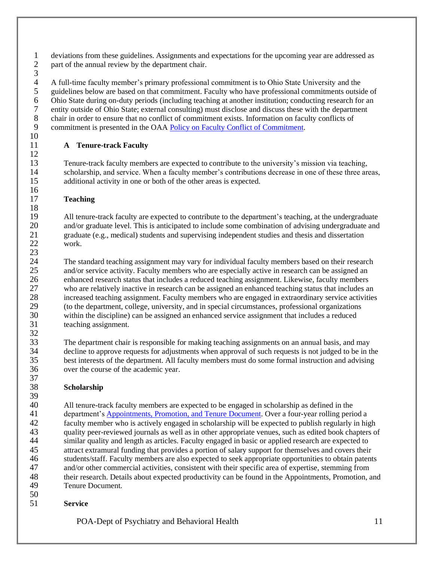1 deviations from these guidelines. Assignments and expectations for the upcoming year are addressed as part of the annual review by the department chair. part of the annual review by the department chair.

 $\frac{3}{4}$ 4 A full-time faculty member's primary professional commitment is to Ohio State University and the guidelines below are based on that commitment. Faculty who have professional commitments outside guidelines below are based on that commitment. Faculty who have professional commitments outside of 6 Ohio State during on-duty periods (including teaching at another institution; conducting research for an entity outside of Ohio State; external consulting) must disclose and discuss these with the department entity outside of Ohio State; external consulting) must disclose and discuss these with the department 8 chair in order to ensure that no conflict of commitment exists. Information on faculty conflicts of<br>9 commitment is presented in the OAA Policy on Faculty Conflict of Commitment. commitment is presented in the OAA Policy on [Faculty Conflict of Commitment.](https://oaa.osu.edu/assets/files/documents/conflictofcommitment.pdf)

# <span id="page-10-0"></span>**A Tenure-track Faculty**

 Tenure-track faculty members are expected to contribute to the university's mission via teaching, scholarship, and service. When a faculty member's contributions decrease in one of these three areas, additional activity in one or both of the other areas is expected.

# **Teaching**

 All tenure-track faculty are expected to contribute to the department's teaching, at the undergraduate and/or graduate level. This is anticipated to include some combination of advising undergraduate and graduate (e.g., medical) students and supervising independent studies and thesis and dissertation work.

 $\frac{23}{24}$ The standard teaching assignment may vary for individual faculty members based on their research 25 and/or service activity. Faculty members who are especially active in research can be assigned an enhanced research status that includes a reduced teaching assignment. Likewise, faculty members who are relatively inactive in research can be assigned an enhanced teaching status that includes an increased teaching assignment. Faculty members who are engaged in extraordinary service activities (to the department, college, university, and in special circumstances, professional organizations within the discipline) can be assigned an enhanced service assignment that includes a reduced teaching assignment.

33 The department chair is responsible for making teaching assignments on an annual basis, and may decline to approve requests for adjustments when approval of such requests is not judged to be in the decline to approve requests for adjustments when approval of such requests is not judged to be in the best interests of the department. All faculty members must do some formal instruction and advising over the course of the academic year.

# **Scholarship**

 All tenure-track faculty members are expected to be engaged in scholarship as defined in the department's [Appointments, Promotion, and Tenure Document.](http://oaa.osu.edu/governance) Over a four-year rolling period a faculty member who is actively engaged in scholarship will be expected to publish regularly in high quality peer-reviewed journals as well as in other appropriate venues, such as edited book chapters of similar quality and length as articles. Faculty engaged in basic or applied research are expected to attract extramural funding that provides a portion of salary support for themselves and covers their students/staff. Faculty members are also expected to seek appropriate opportunities to obtain patents and/or other commercial activities, consistent with their specific area of expertise, stemming from their research. Details about expected productivity can be found in the Appointments, Promotion, and Tenure Document.

 **Service**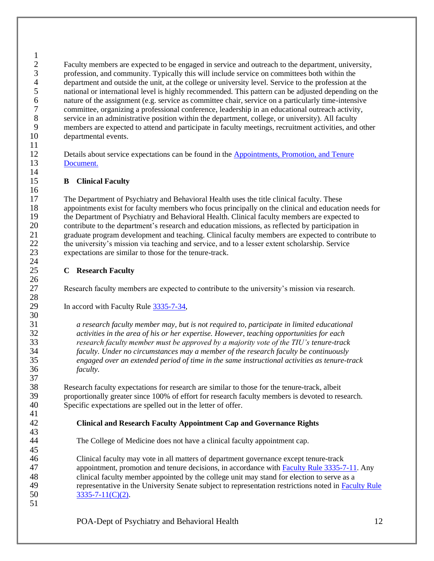$\frac{1}{2}$ 2 Faculty members are expected to be engaged in service and outreach to the department, university,<br>3 roofession, and community. Typically this will include service on committees both within the 3 profession, and community. Typically this will include service on committees both within the department and outside the unit, at the college or university level. Service to the profession at 4 department and outside the unit, at the college or university level. Service to the profession at the national or international level is highly recommended. This pattern can be adjusted depending on national or international level is highly recommended. This pattern can be adjusted depending on the nature of the assignment (e.g. service as committee chair, service on a particularly time-intensive committee, organizing a professional conference, leadership in an educational outreach activity, 8 service in an administrative position within the department, college, or university). All faculty<br>9 members are expected to attend and participate in faculty meetings, recruitment activities, and members are expected to attend and participate in faculty meetings, recruitment activities, and other departmental events. 

 Details about service expectations can be found in the [Appointments, Promotion, and Tenure](http://oaa.osu.edu/governance)  [Document.](http://oaa.osu.edu/governance)

# <span id="page-11-0"></span>**B Clinical Faculty**

 The Department of Psychiatry and Behavioral Health uses the title clinical faculty. These appointments exist for faculty members who focus principally on the clinical and education needs for the Department of Psychiatry and Behavioral Health. Clinical faculty members are expected to contribute to the department's research and education missions, as reflected by participation in graduate program development and teaching. Clinical faculty members are expected to contribute to the university's mission via teaching and service, and to a lesser extent scholarship. Service expectations are similar to those for the tenure-track.

## <span id="page-11-1"></span>**C Research Faculty**

Research faculty members are expected to contribute to the university's mission via research.

In accord with Faculty Rule [3335-7-34,](https://trustees.osu.edu/rules/university-rules/chapter-3335-7-rules-of-the-university-faculty-concerning-clinical-faculty-appointment-reappointment-and-nonreappointment-and-promotion.html)

 *a research faculty member may, but is not required to, participate in limited educational activities in the area of his or her expertise. However, teaching opportunities for each research faculty member must be approved by a majority vote of the TIU's tenure-track faculty. Under no circumstances may a member of the research faculty be continuously engaged over an extended period of time in the same instructional activities as tenure-track faculty.*

 Research faculty expectations for research are similar to those for the tenure-track, albeit proportionally greater since 100% of effort for research faculty members is devoted to research. Specific expectations are spelled out in the letter of offer.

# **Clinical and Research Faculty Appointment Cap and Governance Rights**

The College of Medicine does not have a clinical faculty appointment cap.

 Clinical faculty may vote in all matters of department governance except tenure-track appointment, promotion and tenure decisions, in accordance with [Faculty Rule 3335-7-11.](https://trustees.osu.edu/rules/university-rules/chapter-3335-7-rules-of-the-university-faculty-concerning-clinical-faculty-appointment-reappointment-and-nonreappointment-and-promotion.html) Any clinical faculty member appointed by the college unit may stand for election to serve as a representative in the University Senate subject to representation restrictions noted in [Faculty Rule](https://trustees.osu.edu/rules/university-rules/chapter-3335-7-rules-of-the-university-faculty-concerning-clinical-faculty-appointment-reappointment-and-nonreappointment-and-promotion.html)  [3335-7-11\(C\)\(2\).](https://trustees.osu.edu/rules/university-rules/chapter-3335-7-rules-of-the-university-faculty-concerning-clinical-faculty-appointment-reappointment-and-nonreappointment-and-promotion.html)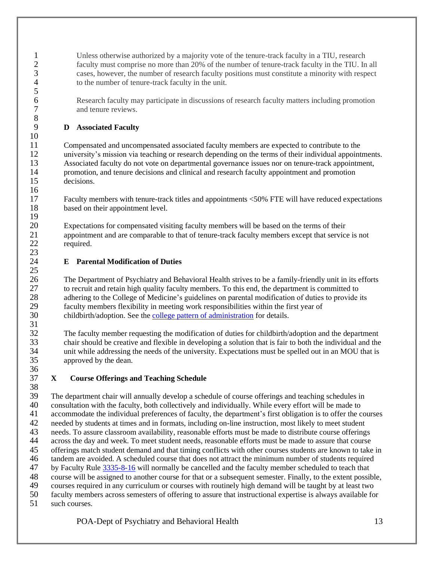Unless otherwise authorized by a majority vote of the tenure-track faculty in a TIU, research faculty must comprise no more than 20% of the number of tenure-track faculty in the TIU. In all 3 cases, however, the number of research faculty positions must constitute a minority with respect to the number of tenure-track faculty in the unit. to the number of tenure-track faculty in the unit.

 Research faculty may participate in discussions of research faculty matters including promotion and tenure reviews.

# <span id="page-12-0"></span>**D Associated Faculty**

 Compensated and uncompensated associated faculty members are expected to contribute to the university's mission via teaching or research depending on the terms of their individual appointments. Associated faculty do not vote on departmental governance issues nor on tenure-track appointment, promotion, and tenure decisions and clinical and research faculty appointment and promotion decisions.

 Faculty members with tenure-track titles and appointments <50% FTE will have reduced expectations based on their appointment level.

 Expectations for compensated visiting faculty members will be based on the terms of their appointment and are comparable to that of tenure-track faculty members except that service is not required.

# <span id="page-12-1"></span>**E Parental Modification of Duties**

 The Department of Psychiatry and Behavioral Health strives to be a family-friendly unit in its efforts to recruit and retain high quality faculty members. To this end, the department is committed to adhering to the College of Medicine's guidelines on parental modification of duties to provide its faculty members flexibility in meeting work responsibilities within the first year of childbirth/adoption. See th[e college pattern of administration](https://oaa.osu.edu/appointments-reappointments-promotion-and-tenure) for details.

 The faculty member requesting the modification of duties for childbirth/adoption and the department 33 chair should be creative and flexible in developing a solution that is fair to both the individual and the unit while addressing the needs of the university. Expectations must be spelled out in an MOU that is unit while addressing the needs of the university. Expectations must be spelled out in an MOU that is approved by the dean.

#### $\frac{36}{37}$ **X Course Offerings and Teaching Schedule**

<span id="page-12-2"></span>

 $\frac{23}{24}$ 

38<br>39 The department chair will annually develop a schedule of course offerings and teaching schedules in consultation with the faculty, both collectively and individually. While every effort will be made to accommodate the individual preferences of faculty, the department's first obligation is to offer the courses needed by students at times and in formats, including on-line instruction, most likely to meet student needs. To assure classroom availability, reasonable efforts must be made to distribute course offerings across the day and week. To meet student needs, reasonable efforts must be made to assure that course offerings match student demand and that timing conflicts with other courses students are known to take in tandem are avoided. A scheduled course that does not attract the minimum number of students required by Faculty Rule [3335-8-16](https://trustees.osu.edu/rules/university-rules/chapter-3335-8-instruction.html) will normally be cancelled and the faculty member scheduled to teach that course will be assigned to another course for that or a subsequent semester. Finally, to the extent possible, courses required in any curriculum or courses with routinely high demand will be taught by at least two faculty members across semesters of offering to assure that instructional expertise is always available for such courses.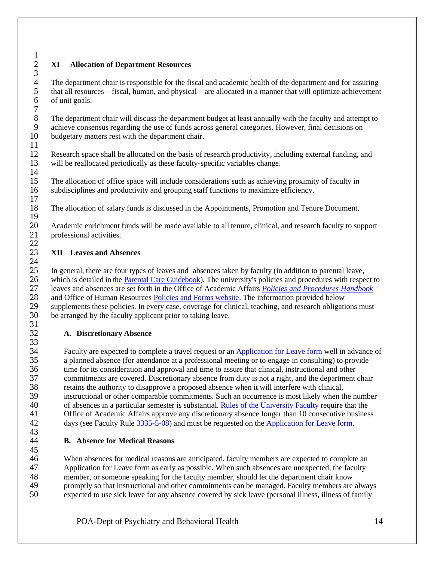# <span id="page-13-0"></span> $\frac{1}{2}$  **XI Allocation of Department Resources**  $\frac{3}{4}$

4 The department chair is responsible for the fiscal and academic health of the department and for assuring that all resources—fiscal, human, and physical—are allocated in a manner that will optimize achievement that all resources—fiscal, human, and physical—are allocated in a manner that will optimize achievement of unit goals.

 8 The department chair will discuss the department budget at least annually with the faculty and attempt to<br>9 achieve consensus regarding the use of funds across general categories. However, final decisions on achieve consensus regarding the use of funds across general categories. However, final decisions on budgetary matters rest with the department chair. 

 Research space shall be allocated on the basis of research productivity, including external funding, and will be reallocated periodically as these faculty-specific variables change. 

 The allocation of office space will include considerations such as achieving proximity of faculty in subdisciplines and productivity and grouping staff functions to maximize efficiency. 

The allocation of salary funds is discussed in the Appointments, Promotion and Tenure Document.

20 Academic enrichment funds will be made available to all tenure, clinical, and research faculty to support professional activities. professional activities. 

#### <span id="page-13-1"></span> **XII Leaves and Absences**

 In general, there are four types of leaves and absences taken by faculty (in addition to parental leave, 26 which is detailed in the **Parental Care Guidebook**). The university's policies and procedures with respect to leaves and absences are set forth in the Office of Academic Affairs *Policies and Procedures Handbook*  leaves and absences are set forth in the Office of Academic Affairs *[Policies and Procedures Handbook](https://oaa.osu.edu/policies-and-procedures-handbook)* and Office of Human Resources [Policies and Forms website.](https://hr.osu.edu/policies-forms) The information provided below supplements these policies. In every case, coverage for clinical, teaching, and research obligations must be arranged by the faculty applicant prior to taking leave. 

# <span id="page-13-2"></span>**A. Discretionary Absence**

 $\frac{33}{34}$ Faculty are expected to complete a travel request or an [Application for Leave form](https://eleave.osu.edu/) well in advance of a planned absence (for attendance at a professional meeting or to engage in consulting) to provide time for its consideration and approval and time to assure that clinical, instructional and other commitments are covered. Discretionary absence from duty is not a right, and the department chair retains the authority to disapprove a proposed absence when it will interfere with clinical, instructional or other comparable commitments. Such an occurrence is most likely when the number of absences in a particular semester is substantial. [Rules of the University Faculty](https://trustees.osu.edu/bylaws-and-rules/university-faculty-rules) require that the Office of Academic Affairs approve any discretionary absence longer than 10 consecutive business days (see Faculty Rule [3335-5-08\)](https://trustees.osu.edu/rules/university-rules/chapter-3335-5-faculty-governance-and-committees.html) and must be requested on the [Application for Leave form.](https://eleave.osu.edu/) 

<span id="page-13-3"></span>**B. Absence for Medical Reasons**

 When absences for medical reasons are anticipated, faculty members are expected to complete an Application for Leave form as early as possible. When such absences are unexpected, the faculty member, or someone speaking for the faculty member, should let the department chair know promptly so that instructional and other commitments can be managed. Faculty members are always expected to use sick leave for any absence covered by sick leave (personal illness, illness of family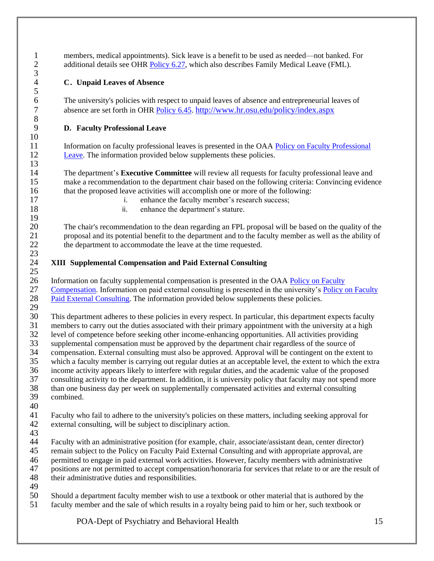1 members, medical appointments). Sick leave is a benefit to be used as needed—not banked. For<br>2 additional details see OHR Policy 6.27, which also describes Family Medical Leave (FML). additional details see OHR [Policy 6.27,](https://hr.osu.edu/public/documents/policy/policy627.pdf) which also describes Family Medical Leave (FML).

## <span id="page-14-0"></span>**C. Unpaid Leaves of Absence**

6 The university's policies with respect to unpaid leaves of absence and entrepreneurial leaves of absence are set forth in OHR Policy 6.45, http://www.hr.osu.edu/policy/index.aspx absence are set forth in OHR [Policy 6.45.](https://hr.osu.edu/public/documents/policy/policy645.pdf) <http://www.hr.osu.edu/policy/index.aspx>

## <span id="page-14-1"></span>**D. Faculty Professional Leave**

 Information on faculty professional leaves is presented in the OAA [Policy on Faculty Professional](https://oaa.osu.edu/assets/files/documents/facultyprofessionalleave.pdf)  [Leave.](https://oaa.osu.edu/assets/files/documents/facultyprofessionalleave.pdf) The information provided below supplements these policies.

 The department's **Executive Committee** will review all requests for faculty professional leave and make a recommendation to the department chair based on the following criteria: Convincing evidence that the proposed leave activities will accomplish one or more of the following:

- 17 i. enhance the faculty member's research success;
- 18 ii. enhance the department's stature.

 The chair's recommendation to the dean regarding an FPL proposal will be based on the quality of the proposal and its potential benefit to the department and to the faculty member as well as the ability of 22 the department to accommodate the leave at the time requested.

## <span id="page-14-2"></span>**XIII Supplemental Compensation and Paid External Consulting**

 $\frac{25}{26}$ 26 Information on faculty supplemental compensation is presented in the OAA Policy on Faculty<br>27 Compensation. Information on paid external consulting is presented in the university's Policy [Compensation.](https://oaa.osu.edu/assets/files/documents/facultycompensation.pdf) Information on paid external consulting is presented in the university's [Policy on Faculty](https://oaa.osu.edu/assets/files/documents/paidexternalconsulting.pdf)  [Paid External Consulting.](https://oaa.osu.edu/assets/files/documents/paidexternalconsulting.pdf) The information provided below supplements these policies.

29<br>30 This department adheres to these policies in every respect. In particular, this department expects faculty members to carry out the duties associated with their primary appointment with the university at a high

 level of competence before seeking other income-enhancing opportunities. All activities providing supplemental compensation must be approved by the department chair regardless of the source of

- compensation. External consulting must also be approved. Approval will be contingent on the extent to
- which a faculty member is carrying out regular duties at an acceptable level, the extent to which the extra
- 
- 36 income activity appears likely to interfere with regular duties, and the academic value of the proposed<br>37 consulting activity to the department. In addition, it is university policy that faculty may not spend mo consulting activity to the department. In addition, it is university policy that faculty may not spend more 38 than one business day per week on supplementally compensated activities and external consulting<br>39 combined.
- combined.
- 

 $\frac{3}{4}$ 

- Faculty who fail to adhere to the university's policies on these matters, including seeking approval for external consulting, will be subject to disciplinary action.
- 

Faculty with an administrative position (for example, chair, associate/assistant dean, center director)

- remain subject to the Policy on Faculty Paid External Consulting and with appropriate approval, are
- 46 permitted to engage in paid external work activities. However, faculty members with administrative positions are not permitted to accept compensation/honoraria for services that relate to or are the results
- positions are not permitted to accept compensation/honoraria for services that relate to or are the result of
- their administrative duties and responsibilities.
- 
- Should a department faculty member wish to use a textbook or other material that is authored by the faculty member and the sale of which results in a royalty being paid to him or her, such textbook or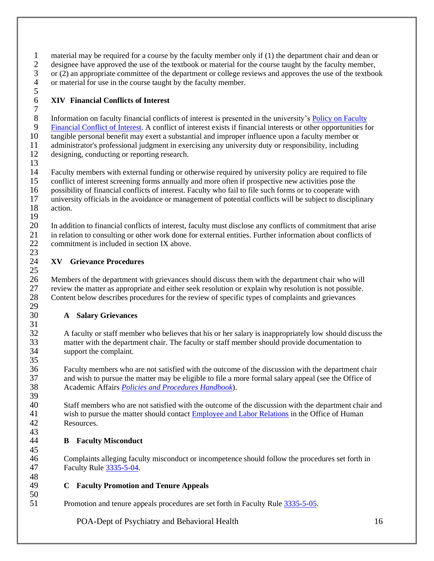material may be required for a course by the faculty member only if (1) the department chair and dean or 2 designee have approved the use of the textbook or material for the course taught by the faculty member,<br>3 or (2) an appropriate committee of the department or college reviews and approves the use of the textboo 3 or (2) an appropriate committee of the department or college reviews and approves the use of the textbook<br>4 or material for use in the course taught by the faculty member. or material for use in the course taught by the faculty member.

### <span id="page-15-0"></span> $\frac{5}{6}$ **XIV Financial Conflicts of Interest**

 8 Information on faculty financial conflicts of interest is presented in the university's **Policy on Faculty**<br>9 Financial Conflict of Interest. A conflict of interest exists if financial interests or other opportunities fo [Financial Conflict of Interest.](https://oaa.osu.edu/sites/default/files/uploads/policies/Faculty-Financial-Conflict-of-Interest.pdf) A conflict of interest exists if financial interests or other opportunities for tangible personal benefit may exert a substantial and improper influence upon a faculty member or administrator's professional judgment in exercising any university duty or responsibility, including designing, conducting or reporting research.

 $\frac{13}{14}$  Faculty members with external funding or otherwise required by university policy are required to file conflict of interest screening forms annually and more often if prospective new activities pose the 16 possibility of financial conflicts of interest. Faculty who fail to file such forms or to cooperate with<br>17 university officials in the avoidance or management of potential conflicts will be subject to discipling 17 university officials in the avoidance or management of potential conflicts will be subject to disciplinary action. action.

20 In addition to financial conflicts of interest, faculty must disclose any conflicts of commitment that arise<br>21 in relation to consulting or other work done for external entities. Further information about conflicts of in relation to consulting or other work done for external entities. Further information about conflicts of commitment is included in section IX above.

#### <span id="page-15-1"></span> $\frac{23}{24}$ **XV Grievance Procedures**

26 Members of the department with grievances should discuss them with the department chair who will<br>27 review the matter as appropriate and either seek resolution or explain why resolution is not possible. 27 review the matter as appropriate and either seek resolution or explain why resolution is not possible.<br>28 Content below describes procedures for the review of specific types of complaints and grievances Content below describes procedures for the review of specific types of complaints and grievances 

## <span id="page-15-2"></span>**A Salary Grievances**

 A faculty or staff member who believes that his or her salary is inappropriately low should discuss the 33 matter with the department chair. The faculty or staff member should provide documentation to support the complaint. support the complaint. 

 Faculty members who are not satisfied with the outcome of the discussion with the department chair and wish to pursue the matter may be eligible to file a more formal salary appeal (see the Office of Academic Affairs *[Policies and Procedures Handbook](https://oaa.osu.edu/policies-and-procedures-handbook)*). 

 Staff members who are not satisfied with the outcome of the discussion with the department chair and wish to pursue the matter should contac[t Employee and Labor Relations](https://hr.osu.edu/services/elr/) in the Office of Human Resources. 

## <span id="page-15-3"></span>**B Faculty Misconduct**

 Complaints alleging faculty misconduct or incompetence should follow the procedures set forth in Faculty Rule [3335-5-04.](https://trustees.osu.edu/rules/university-rules/chapter-3335-5-faculty-governance-and-committees.html)

## <span id="page-15-4"></span>**C Faculty Promotion and Tenure Appeals**

Promotion and tenure appeals procedures are set forth in Faculty Rul[e 3335-5-05.](https://trustees.osu.edu/rules/university-rules/chapter-3335-5-faculty-governance-and-committees.html)